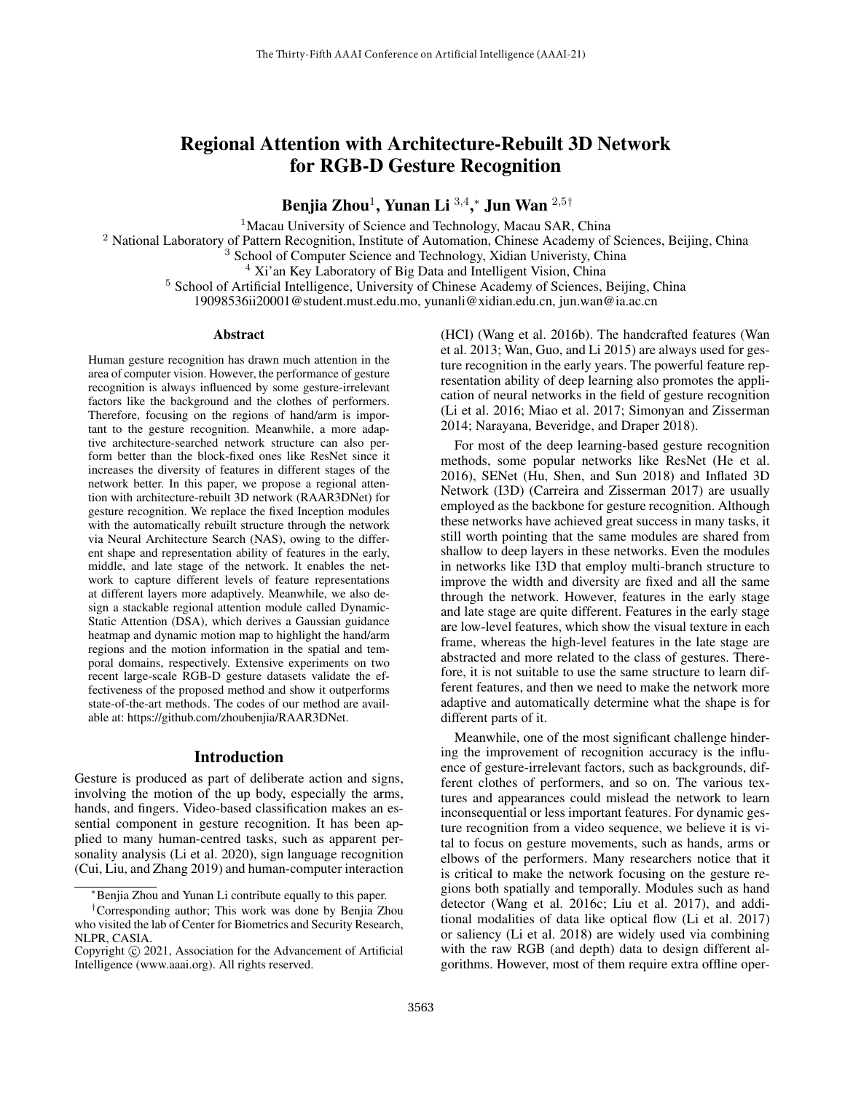# Regional Attention with Architecture-Rebuilt 3D Network for RGB-D Gesture Recognition

Benjia Zhou $^1$ , Yunan Li  $^{3,4},^\ast$  Jun Wan  $^{2,5\dagger}$ 

<sup>1</sup>Macau University of Science and Technology, Macau SAR, China

<sup>2</sup> National Laboratory of Pattern Recognition, Institute of Automation, Chinese Academy of Sciences, Beijing, China

<sup>3</sup> School of Computer Science and Technology, Xidian Univeristy, China

 $4$  Xi'an Key Laboratory of Big Data and Intelligent Vision, China

<sup>5</sup> School of Artificial Intelligence, University of Chinese Academy of Sciences, Beijing, China

19098536ii20001@student.must.edu.mo, yunanli@xidian.edu.cn, jun.wan@ia.ac.cn

### Abstract

Human gesture recognition has drawn much attention in the area of computer vision. However, the performance of gesture recognition is always influenced by some gesture-irrelevant factors like the background and the clothes of performers. Therefore, focusing on the regions of hand/arm is important to the gesture recognition. Meanwhile, a more adaptive architecture-searched network structure can also perform better than the block-fixed ones like ResNet since it increases the diversity of features in different stages of the network better. In this paper, we propose a regional attention with architecture-rebuilt 3D network (RAAR3DNet) for gesture recognition. We replace the fixed Inception modules with the automatically rebuilt structure through the network via Neural Architecture Search (NAS), owing to the different shape and representation ability of features in the early, middle, and late stage of the network. It enables the network to capture different levels of feature representations at different layers more adaptively. Meanwhile, we also design a stackable regional attention module called Dynamic-Static Attention (DSA), which derives a Gaussian guidance heatmap and dynamic motion map to highlight the hand/arm regions and the motion information in the spatial and temporal domains, respectively. Extensive experiments on two recent large-scale RGB-D gesture datasets validate the effectiveness of the proposed method and show it outperforms state-of-the-art methods. The codes of our method are available at: https://github.com/zhoubenjia/RAAR3DNet.

## Introduction

Gesture is produced as part of deliberate action and signs, involving the motion of the up body, especially the arms, hands, and fingers. Video-based classification makes an essential component in gesture recognition. It has been applied to many human-centred tasks, such as apparent personality analysis (Li et al. 2020), sign language recognition (Cui, Liu, and Zhang 2019) and human-computer interaction

(HCI) (Wang et al. 2016b). The handcrafted features (Wan et al. 2013; Wan, Guo, and Li 2015) are always used for gesture recognition in the early years. The powerful feature representation ability of deep learning also promotes the application of neural networks in the field of gesture recognition (Li et al. 2016; Miao et al. 2017; Simonyan and Zisserman 2014; Narayana, Beveridge, and Draper 2018).

For most of the deep learning-based gesture recognition methods, some popular networks like ResNet (He et al. 2016), SENet (Hu, Shen, and Sun 2018) and Inflated 3D Network (I3D) (Carreira and Zisserman 2017) are usually employed as the backbone for gesture recognition. Although these networks have achieved great success in many tasks, it still worth pointing that the same modules are shared from shallow to deep layers in these networks. Even the modules in networks like I3D that employ multi-branch structure to improve the width and diversity are fixed and all the same through the network. However, features in the early stage and late stage are quite different. Features in the early stage are low-level features, which show the visual texture in each frame, whereas the high-level features in the late stage are abstracted and more related to the class of gestures. Therefore, it is not suitable to use the same structure to learn different features, and then we need to make the network more adaptive and automatically determine what the shape is for different parts of it.

Meanwhile, one of the most significant challenge hindering the improvement of recognition accuracy is the influence of gesture-irrelevant factors, such as backgrounds, different clothes of performers, and so on. The various textures and appearances could mislead the network to learn inconsequential or less important features. For dynamic gesture recognition from a video sequence, we believe it is vital to focus on gesture movements, such as hands, arms or elbows of the performers. Many researchers notice that it is critical to make the network focusing on the gesture regions both spatially and temporally. Modules such as hand detector (Wang et al. 2016c; Liu et al. 2017), and additional modalities of data like optical flow (Li et al. 2017) or saliency (Li et al. 2018) are widely used via combining with the raw RGB (and depth) data to design different algorithms. However, most of them require extra offline oper-

<sup>∗</sup>Benjia Zhou and Yunan Li contribute equally to this paper.

<sup>†</sup>Corresponding author; This work was done by Benjia Zhou who visited the lab of Center for Biometrics and Security Research, NLPR, CASIA.

Copyright © 2021, Association for the Advancement of Artificial Intelligence (www.aaai.org). All rights reserved.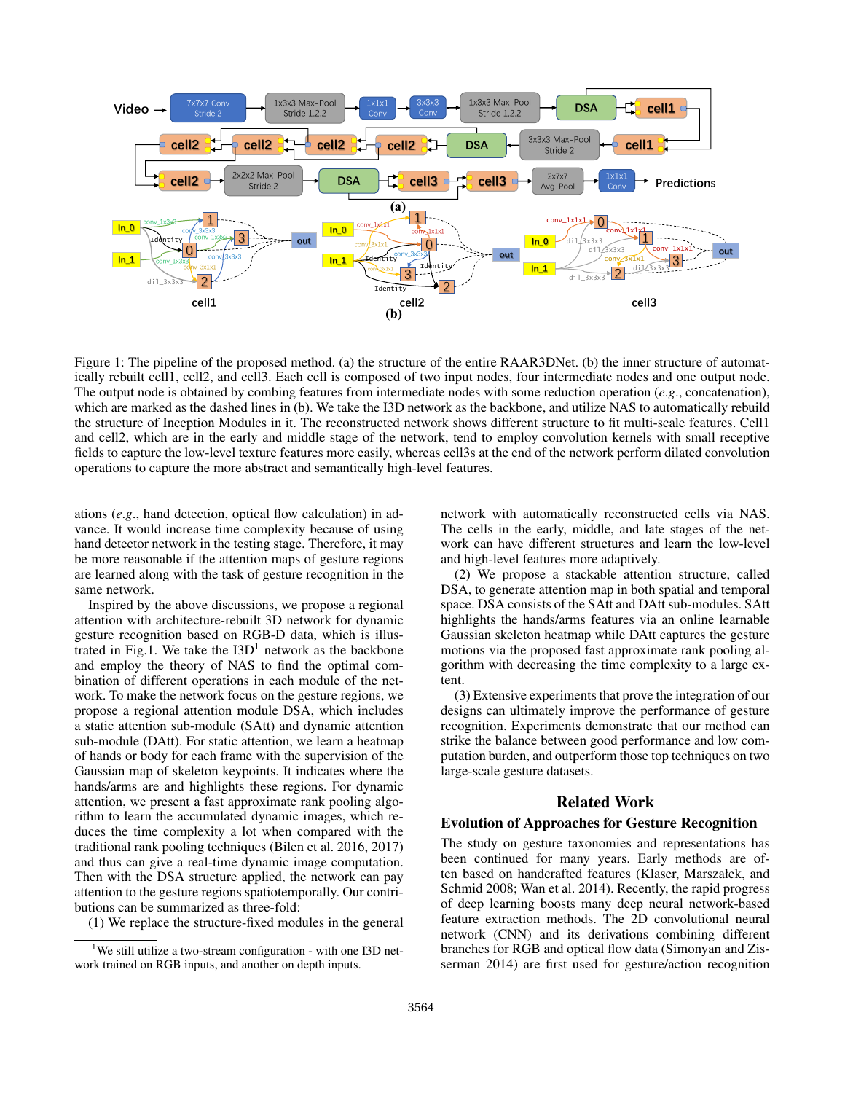

Figure 1: The pipeline of the proposed method. (a) the structure of the entire RAAR3DNet. (b) the inner structure of automatically rebuilt cell1, cell2, and cell3. Each cell is composed of two input nodes, four intermediate nodes and one output node. The output node is obtained by combing features from intermediate nodes with some reduction operation (*e*.*g*., concatenation), which are marked as the dashed lines in (b). We take the I3D network as the backbone, and utilize NAS to automatically rebuild the structure of Inception Modules in it. The reconstructed network shows different structure to fit multi-scale features. Cell1 and cell2, which are in the early and middle stage of the network, tend to employ convolution kernels with small receptive fields to capture the low-level texture features more easily, whereas cell3s at the end of the network perform dilated convolution operations to capture the more abstract and semantically high-level features.

ations (*e*.*g*., hand detection, optical flow calculation) in advance. It would increase time complexity because of using hand detector network in the testing stage. Therefore, it may be more reasonable if the attention maps of gesture regions are learned along with the task of gesture recognition in the same network.

Inspired by the above discussions, we propose a regional attention with architecture-rebuilt 3D network for dynamic gesture recognition based on RGB-D data, which is illustrated in Fig.1. We take the  $I3D<sup>1</sup>$  network as the backbone and employ the theory of NAS to find the optimal combination of different operations in each module of the network. To make the network focus on the gesture regions, we propose a regional attention module DSA, which includes a static attention sub-module (SAtt) and dynamic attention sub-module (DAtt). For static attention, we learn a heatmap of hands or body for each frame with the supervision of the Gaussian map of skeleton keypoints. It indicates where the hands/arms are and highlights these regions. For dynamic attention, we present a fast approximate rank pooling algorithm to learn the accumulated dynamic images, which reduces the time complexity a lot when compared with the traditional rank pooling techniques (Bilen et al. 2016, 2017) and thus can give a real-time dynamic image computation. Then with the DSA structure applied, the network can pay attention to the gesture regions spatiotemporally. Our contributions can be summarized as three-fold:

(1) We replace the structure-fixed modules in the general

network with automatically reconstructed cells via NAS. The cells in the early, middle, and late stages of the network can have different structures and learn the low-level and high-level features more adaptively.

(2) We propose a stackable attention structure, called DSA, to generate attention map in both spatial and temporal space. DSA consists of the SAtt and DAtt sub-modules. SAtt highlights the hands/arms features via an online learnable Gaussian skeleton heatmap while DAtt captures the gesture motions via the proposed fast approximate rank pooling algorithm with decreasing the time complexity to a large extent.

(3) Extensive experiments that prove the integration of our designs can ultimately improve the performance of gesture recognition. Experiments demonstrate that our method can strike the balance between good performance and low computation burden, and outperform those top techniques on two large-scale gesture datasets.

## Related Work

## Evolution of Approaches for Gesture Recognition

The study on gesture taxonomies and representations has been continued for many years. Early methods are often based on handcrafted features (Klaser, Marszałek, and Schmid 2008; Wan et al. 2014). Recently, the rapid progress of deep learning boosts many deep neural network-based feature extraction methods. The 2D convolutional neural network (CNN) and its derivations combining different branches for RGB and optical flow data (Simonyan and Zisserman 2014) are first used for gesture/action recognition

<sup>&</sup>lt;sup>1</sup>We still utilize a two-stream configuration - with one I3D network trained on RGB inputs, and another on depth inputs.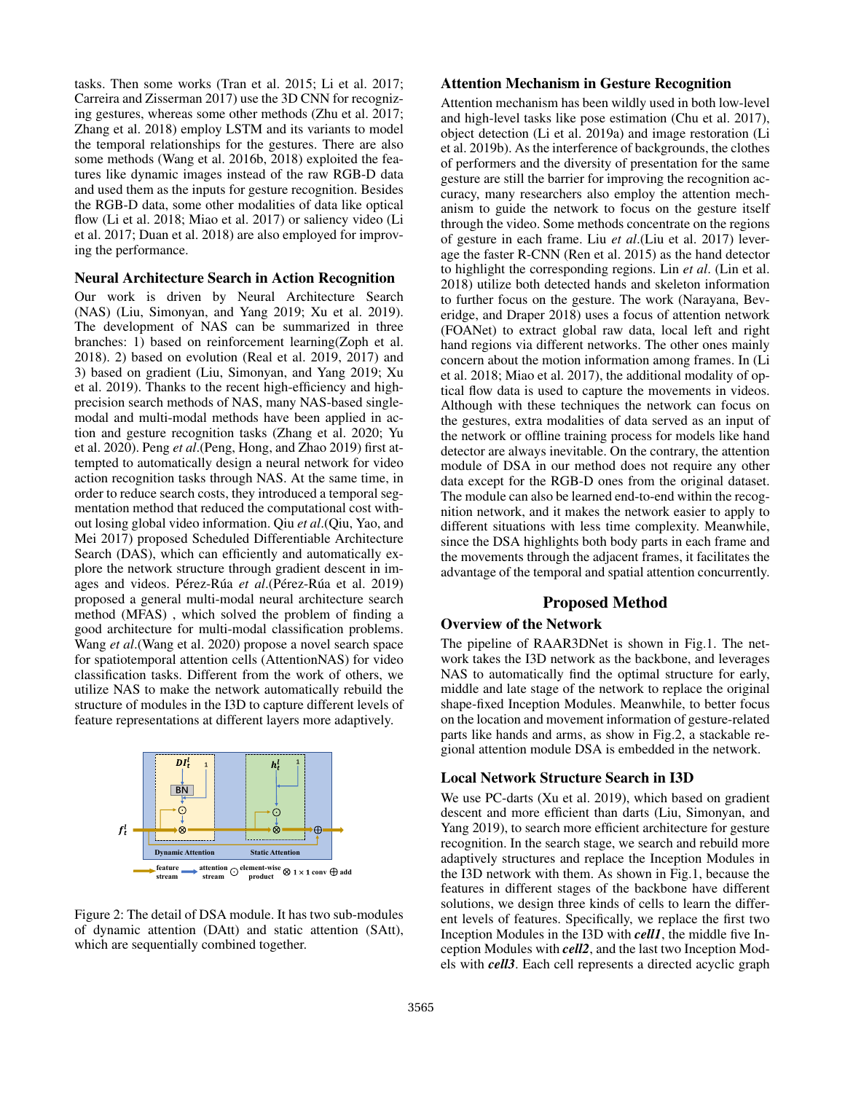tasks. Then some works (Tran et al. 2015; Li et al. 2017; Carreira and Zisserman 2017) use the 3D CNN for recognizing gestures, whereas some other methods (Zhu et al. 2017; Zhang et al. 2018) employ LSTM and its variants to model the temporal relationships for the gestures. There are also some methods (Wang et al. 2016b, 2018) exploited the features like dynamic images instead of the raw RGB-D data and used them as the inputs for gesture recognition. Besides the RGB-D data, some other modalities of data like optical flow (Li et al. 2018; Miao et al. 2017) or saliency video (Li et al. 2017; Duan et al. 2018) are also employed for improving the performance.

#### Neural Architecture Search in Action Recognition

Our work is driven by Neural Architecture Search (NAS) (Liu, Simonyan, and Yang 2019; Xu et al. 2019). The development of NAS can be summarized in three branches: 1) based on reinforcement learning(Zoph et al. 2018). 2) based on evolution (Real et al. 2019, 2017) and 3) based on gradient (Liu, Simonyan, and Yang 2019; Xu et al. 2019). Thanks to the recent high-efficiency and highprecision search methods of NAS, many NAS-based singlemodal and multi-modal methods have been applied in action and gesture recognition tasks (Zhang et al. 2020; Yu et al. 2020). Peng *et al*.(Peng, Hong, and Zhao 2019) first attempted to automatically design a neural network for video action recognition tasks through NAS. At the same time, in order to reduce search costs, they introduced a temporal segmentation method that reduced the computational cost without losing global video information. Qiu *et al*.(Qiu, Yao, and Mei 2017) proposed Scheduled Differentiable Architecture Search (DAS), which can efficiently and automatically explore the network structure through gradient descent in images and videos. Pérez-Rúa et al.(Pérez-Rúa et al. 2019) proposed a general multi-modal neural architecture search method (MFAS) , which solved the problem of finding a good architecture for multi-modal classification problems. Wang *et al*.(Wang et al. 2020) propose a novel search space for spatiotemporal attention cells (AttentionNAS) for video classification tasks. Different from the work of others, we utilize NAS to make the network automatically rebuild the structure of modules in the I3D to capture different levels of feature representations at different layers more adaptively.



Figure 2: The detail of DSA module. It has two sub-modules of dynamic attention (DAtt) and static attention (SAtt), which are sequentially combined together.

### Attention Mechanism in Gesture Recognition

Attention mechanism has been wildly used in both low-level and high-level tasks like pose estimation (Chu et al. 2017), object detection (Li et al. 2019a) and image restoration (Li et al. 2019b). As the interference of backgrounds, the clothes of performers and the diversity of presentation for the same gesture are still the barrier for improving the recognition accuracy, many researchers also employ the attention mechanism to guide the network to focus on the gesture itself through the video. Some methods concentrate on the regions of gesture in each frame. Liu *et al*.(Liu et al. 2017) leverage the faster R-CNN (Ren et al. 2015) as the hand detector to highlight the corresponding regions. Lin *et al*. (Lin et al. 2018) utilize both detected hands and skeleton information to further focus on the gesture. The work (Narayana, Beveridge, and Draper 2018) uses a focus of attention network (FOANet) to extract global raw data, local left and right hand regions via different networks. The other ones mainly concern about the motion information among frames. In (Li et al. 2018; Miao et al. 2017), the additional modality of optical flow data is used to capture the movements in videos. Although with these techniques the network can focus on the gestures, extra modalities of data served as an input of the network or offline training process for models like hand detector are always inevitable. On the contrary, the attention module of DSA in our method does not require any other data except for the RGB-D ones from the original dataset. The module can also be learned end-to-end within the recognition network, and it makes the network easier to apply to different situations with less time complexity. Meanwhile, since the DSA highlights both body parts in each frame and the movements through the adjacent frames, it facilitates the advantage of the temporal and spatial attention concurrently.

## Proposed Method

# Overview of the Network

The pipeline of RAAR3DNet is shown in Fig.1. The network takes the I3D network as the backbone, and leverages NAS to automatically find the optimal structure for early, middle and late stage of the network to replace the original shape-fixed Inception Modules. Meanwhile, to better focus on the location and movement information of gesture-related parts like hands and arms, as show in Fig.2, a stackable regional attention module DSA is embedded in the network.

## Local Network Structure Search in I3D

We use PC-darts (Xu et al. 2019), which based on gradient descent and more efficient than darts (Liu, Simonyan, and Yang 2019), to search more efficient architecture for gesture recognition. In the search stage, we search and rebuild more adaptively structures and replace the Inception Modules in the I3D network with them. As shown in Fig.1, because the features in different stages of the backbone have different solutions, we design three kinds of cells to learn the different levels of features. Specifically, we replace the first two Inception Modules in the I3D with *cell1*, the middle five Inception Modules with *cell2*, and the last two Inception Models with *cell3*. Each cell represents a directed acyclic graph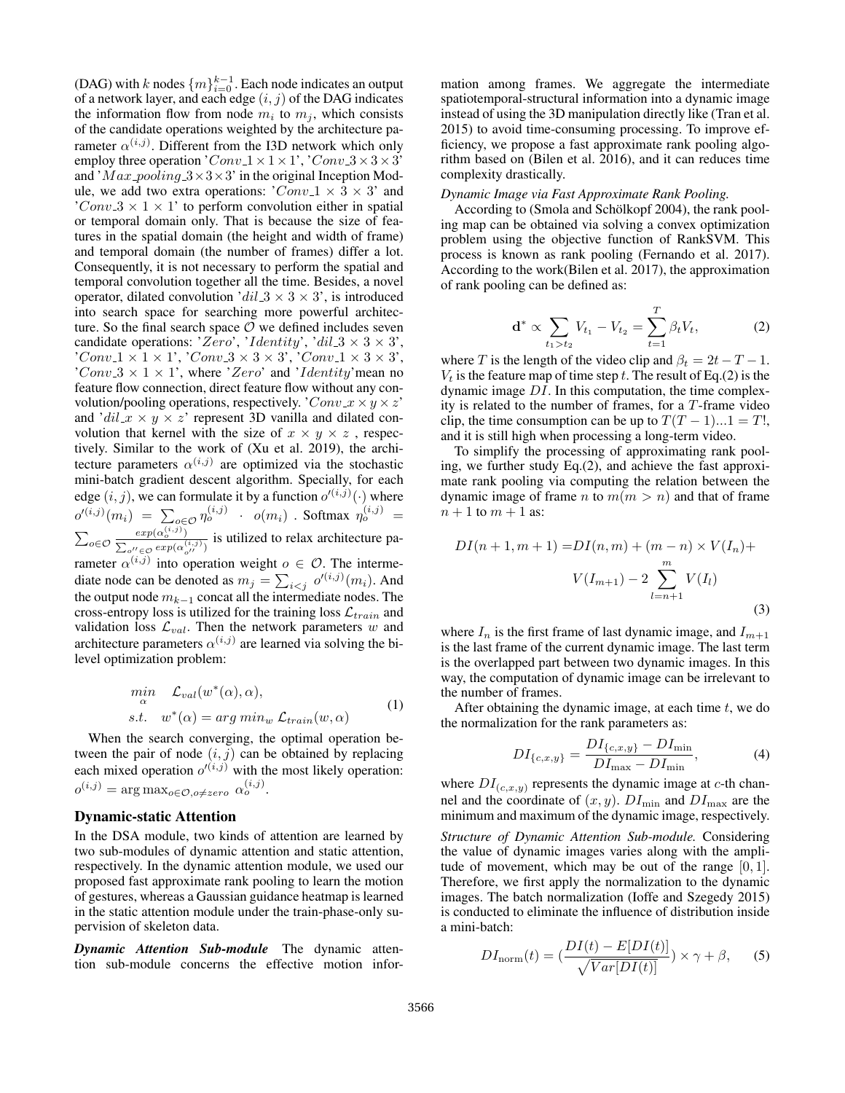(DAG) with k nodes  $\{m\}_{i=0}^{k-1}$ . Each node indicates an output of a network layer, and each edge  $(i, j)$  of the DAG indicates the information flow from node  $m_i$  to  $m_j$ , which consists of the candidate operations weighted by the architecture parameter  $\alpha^{(i,j)}$ . Different from the I3D network which only employ three operation ' $Conv_1 \times 1 \times 1$ ', ' $Conv_3 \times 3 \times 3$ ' and ' $Max\_pooling_3 \times 3 \times 3'$  in the original Inception Module, we add two extra operations:  $'Conv_1 \times 3 \times 3'$  and 'Conv  $3 \times 1 \times 1$ ' to perform convolution either in spatial or temporal domain only. That is because the size of features in the spatial domain (the height and width of frame) and temporal domain (the number of frames) differ a lot. Consequently, it is not necessary to perform the spatial and temporal convolution together all the time. Besides, a novel operator, dilated convolution ' $dil_3 \times 3 \times 3$ ', is introduced into search space for searching more powerful architecture. So the final search space  $\mathcal O$  we defined includes seven candidate operations: 'Zero', 'Identity', 'dil  $3 \times 3 \times 3'$ , 'Conv\_1  $\times$  1  $\times$  1', 'Conv\_3  $\times$  3  $\times$  3', 'Conv\_1  $\times$  3  $\times$  3',  $'Conv.3 \times 1 \times 1'$ , where 'Zero' and 'Identity' mean no feature flow connection, direct feature flow without any convolution/pooling operations, respectively. ' $Conv \_ x \times y \times z$ ' and ' $dil \, x \times y \times z$ ' represent 3D vanilla and dilated convolution that kernel with the size of  $x \times y \times z$ , respectively. Similar to the work of (Xu et al. 2019), the architecture parameters  $\alpha^{(i,j)}$  are optimized via the stochastic mini-batch gradient descent algorithm. Specially, for each edge  $(i, j)$ , we can formulate it by a function  $o'^{(i, j)}(\cdot)$  where  $o'^{(i,j)}(m_i) = \sum_{o \in \mathcal{O}} \eta_o^{(i,j)} + o(m_i)$  . Softmax  $\eta_o^{(i,j)} =$  $\sum_{o \in \mathcal{O}} \frac{exp(\alpha_o^{(i,j)})}{\sum_{v \in \mathcal{P}} exp(\alpha_v^{(i,j)})}$  $\frac{exp(\alpha_0^{(i,j)})}{\sum_{o'' \in \mathcal{O}} exp(\alpha_{o''}^{(i,j)})}$  is utilized to relax architecture parameter  $\alpha^{(i,j)}$  into operation weight  $o \in \mathcal{O}$ . The intermediate node can be denoted as  $m_j = \sum_{i < j} o'^{(i,j)}(m_i)$ . And the output node  $m_{k-1}$  concat all the intermediate nodes. The cross-entropy loss is utilized for the training loss  $\mathcal{L}_{train}$  and validation loss  $\mathcal{L}_{val}$ . Then the network parameters w and

$$
\min_{\alpha} \mathcal{L}_{val}(w^*(\alpha), \alpha),
$$
  
s.t.  $w^*(\alpha) = \arg \min_{w} \mathcal{L}_{train}(w, \alpha)$  (1)

When the search converging, the optimal operation between the pair of node  $(i, j)$  can be obtained by replacing each mixed operation  $o'^{(i,j)}$  with the most likely operation:  $o^{(i,j)} = \arg \max_{o \in \mathcal{O}, o \neq zero} \alpha_o^{(i,j)}.$ 

architecture parameters  $\alpha^{(i,j)}$  are learned via solving the bi-

### Dynamic-static Attention

level optimization problem:

In the DSA module, two kinds of attention are learned by two sub-modules of dynamic attention and static attention, respectively. In the dynamic attention module, we used our proposed fast approximate rank pooling to learn the motion of gestures, whereas a Gaussian guidance heatmap is learned in the static attention module under the train-phase-only supervision of skeleton data.

*Dynamic Attention Sub-module* The dynamic attention sub-module concerns the effective motion infor-

mation among frames. We aggregate the intermediate spatiotemporal-structural information into a dynamic image instead of using the 3D manipulation directly like (Tran et al. 2015) to avoid time-consuming processing. To improve efficiency, we propose a fast approximate rank pooling algorithm based on (Bilen et al. 2016), and it can reduces time complexity drastically.

#### *Dynamic Image via Fast Approximate Rank Pooling.*

According to (Smola and Schölkopf 2004), the rank pooling map can be obtained via solving a convex optimization problem using the objective function of RankSVM. This process is known as rank pooling (Fernando et al. 2017). According to the work(Bilen et al. 2017), the approximation of rank pooling can be defined as:

$$
\mathbf{d}^* \propto \sum_{t_1 > t_2} V_{t_1} - V_{t_2} = \sum_{t=1}^T \beta_t V_t, \tag{2}
$$

where T is the length of the video clip and  $\beta_t = 2t - T - 1$ .  $V_t$  is the feature map of time step t. The result of Eq.(2) is the dynamic image DI. In this computation, the time complexity is related to the number of frames, for a T-frame video clip, the time consumption can be up to  $T(T - 1)...1 = T!$ , and it is still high when processing a long-term video.

To simplify the processing of approximating rank pooling, we further study Eq.(2), and achieve the fast approximate rank pooling via computing the relation between the dynamic image of frame n to  $m(m > n)$  and that of frame  $n+1$  to  $m+1$  as:

$$
DI(n+1, m+1) = DI(n, m) + (m - n) \times V(I_n) +
$$

$$
V(I_{m+1}) - 2 \sum_{l=n+1}^{m} V(I_l)
$$
(3)

where  $I_n$  is the first frame of last dynamic image, and  $I_{m+1}$ is the last frame of the current dynamic image. The last term is the overlapped part between two dynamic images. In this way, the computation of dynamic image can be irrelevant to the number of frames.

After obtaining the dynamic image, at each time  $t$ , we do the normalization for the rank parameters as:

$$
DI_{\{c,x,y\}} = \frac{DI_{\{c,x,y\}} - DI_{\min}}{DI_{\max} - DI_{\min}},
$$
\n(4)

where  $DI_{(c,x,y)}$  represents the dynamic image at c-th channel and the coordinate of  $(x, y)$ .  $DI_{\text{min}}$  and  $DI_{\text{max}}$  are the minimum and maximum of the dynamic image, respectively.

*Structure of Dynamic Attention Sub-module.* Considering the value of dynamic images varies along with the amplitude of movement, which may be out of the range  $[0, 1]$ . Therefore, we first apply the normalization to the dynamic images. The batch normalization (Ioffe and Szegedy 2015) is conducted to eliminate the influence of distribution inside a mini-batch:

$$
DI_{\text{norm}}(t) = \left(\frac{DI(t) - E[DI(t)]}{\sqrt{Var[DI(t)]}}\right) \times \gamma + \beta,\qquad(5)
$$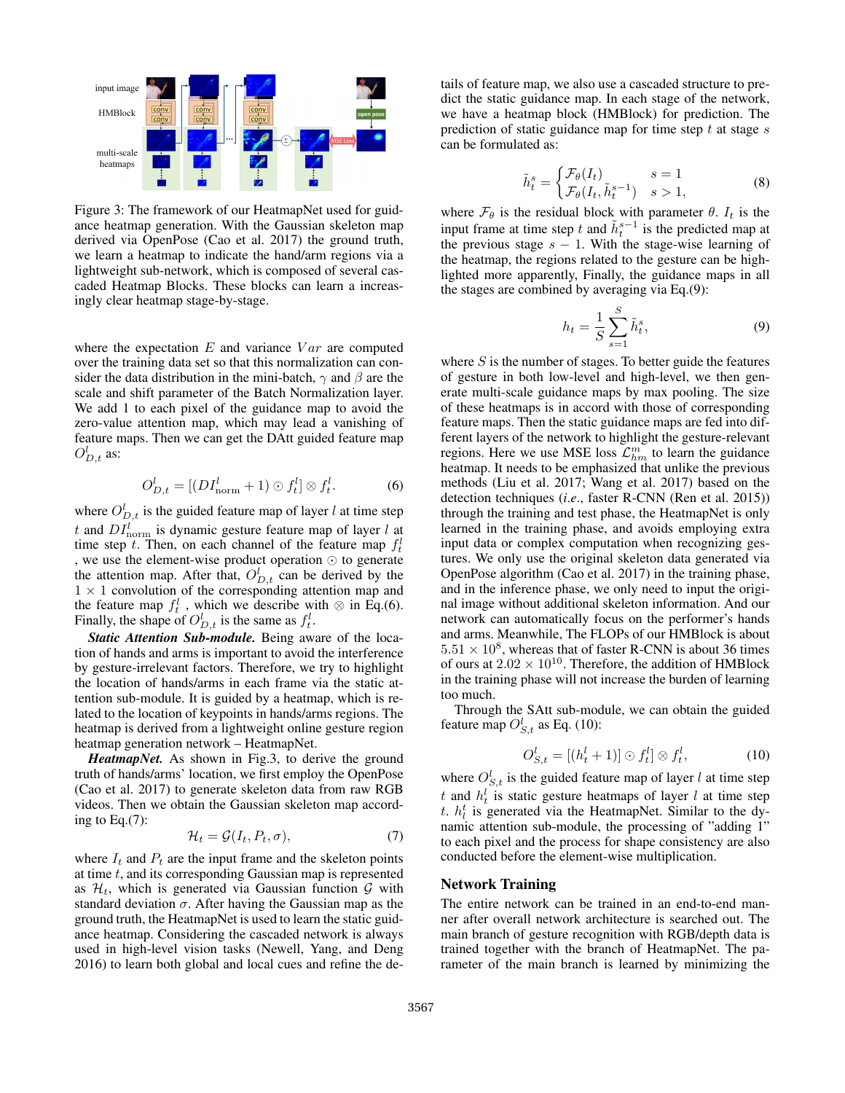

Figure 3: The framework of our HeatmapNet used for guidance heatmap generation. With the Gaussian skeleton map derived via OpenPose (Cao et al. 2017) the ground truth, we learn a heatmap to indicate the hand/arm regions via a lightweight sub-network, which is composed of several cascaded Heatmap Blocks. These blocks can learn a increasingly clear heatmap stage-by-stage.

where the expectation  $E$  and variance  $Var$  are computed over the training data set so that this normalization can consider the data distribution in the mini-batch,  $\gamma$  and  $\beta$  are the scale and shift parameter of the Batch Normalization layer. We add 1 to each pixel of the guidance map to avoid the zero-value attention map, which may lead a vanishing of feature maps. Then we can get the DAtt guided feature map  $O_{D,t}^l$  as:

$$
O_{D,t}^l = [(DI_{\text{norm}}^l + 1) \odot f_t^l] \otimes f_t^l. \tag{6}
$$

where  $O_{D,t}^l$  is the guided feature map of layer l at time step t and  $DI_{\text{norm}}^l$  is dynamic gesture feature map of layer l at time step t. Then, on each channel of the feature map  $f_t^l$ , we use the element-wise product operation  $\odot$  to generate the attention map. After that,  $O_{D,t}^l$  can be derived by the  $1 \times 1$  convolution of the corresponding attention map and the feature map  $f_t^l$ , which we describe with  $\otimes$  in Eq.(6). Finally, the shape of  $O_{D,t}^l$  is the same as  $f_t^l$ .

*Static Attention Sub-module.* Being aware of the location of hands and arms is important to avoid the interference by gesture-irrelevant factors. Therefore, we try to highlight the location of hands/arms in each frame via the static attention sub-module. It is guided by a heatmap, which is related to the location of keypoints in hands/arms regions. The heatmap is derived from a lightweight online gesture region heatmap generation network – HeatmapNet.

*HeatmapNet.* As shown in Fig.3, to derive the ground truth of hands/arms' location, we first employ the OpenPose (Cao et al. 2017) to generate skeleton data from raw RGB videos. Then we obtain the Gaussian skeleton map according to Eq.(7):

$$
\mathcal{H}_t = \mathcal{G}(I_t, P_t, \sigma),\tag{7}
$$

where  $I_t$  and  $P_t$  are the input frame and the skeleton points at time t, and its corresponding Gaussian map is represented as  $\mathcal{H}_t$ , which is generated via Gaussian function  $\mathcal G$  with standard deviation  $\sigma$ . After having the Gaussian map as the ground truth, the HeatmapNet is used to learn the static guidance heatmap. Considering the cascaded network is always used in high-level vision tasks (Newell, Yang, and Deng 2016) to learn both global and local cues and refine the details of feature map, we also use a cascaded structure to predict the static guidance map. In each stage of the network, we have a heatmap block (HMBlock) for prediction. The prediction of static guidance map for time step  $t$  at stage  $s$ can be formulated as:

$$
\tilde{h}_t^s = \begin{cases}\n\mathcal{F}_\theta(I_t) & s = 1 \\
\mathcal{F}_\theta(I_t, \tilde{h}_t^{s-1}) & s > 1,\n\end{cases}
$$
\n(8)

where  $\mathcal{F}_{\theta}$  is the residual block with parameter  $\theta$ .  $I_t$  is the input frame at time step t and  $\tilde{h}^{s-1}_t$  is the predicted map at the previous stage  $s - 1$ . With the stage-wise learning of the heatmap, the regions related to the gesture can be highlighted more apparently, Finally, the guidance maps in all the stages are combined by averaging via Eq.(9):

$$
h_t = \frac{1}{S} \sum_{s=1}^{S} \tilde{h}_t^s, \tag{9}
$$

where  $S$  is the number of stages. To better guide the features of gesture in both low-level and high-level, we then generate multi-scale guidance maps by max pooling. The size of these heatmaps is in accord with those of corresponding feature maps. Then the static guidance maps are fed into different layers of the network to highlight the gesture-relevant regions. Here we use MSE loss  $\mathcal{L}_{hm}^m$  to learn the guidance heatmap. It needs to be emphasized that unlike the previous methods (Liu et al. 2017; Wang et al. 2017) based on the detection techniques (*i*.*e*., faster R-CNN (Ren et al. 2015)) through the training and test phase, the HeatmapNet is only learned in the training phase, and avoids employing extra input data or complex computation when recognizing gestures. We only use the original skeleton data generated via OpenPose algorithm (Cao et al. 2017) in the training phase, and in the inference phase, we only need to input the original image without additional skeleton information. And our network can automatically focus on the performer's hands and arms. Meanwhile, The FLOPs of our HMBlock is about  $5.51 \times 10^8$ , whereas that of faster R-CNN is about 36 times of ours at  $2.02 \times 10^{10}$ . Therefore, the addition of HMBlock in the training phase will not increase the burden of learning too much.

Through the SAtt sub-module, we can obtain the guided feature map  $O_{S,t}^l$  as Eq. (10):

$$
O_{S,t}^l = [(h_t^l + 1)] \odot f_t^l] \otimes f_t^l, \tag{10}
$$

where  $O_{S,t}^l$  is the guided feature map of layer l at time step t and  $h_t^l$  is static gesture heatmaps of layer l at time step t.  $h_l^t$  is generated via the HeatmapNet. Similar to the dynamic attention sub-module, the processing of "adding 1" to each pixel and the process for shape consistency are also conducted before the element-wise multiplication.

## Network Training

The entire network can be trained in an end-to-end manner after overall network architecture is searched out. The main branch of gesture recognition with RGB/depth data is trained together with the branch of HeatmapNet. The parameter of the main branch is learned by minimizing the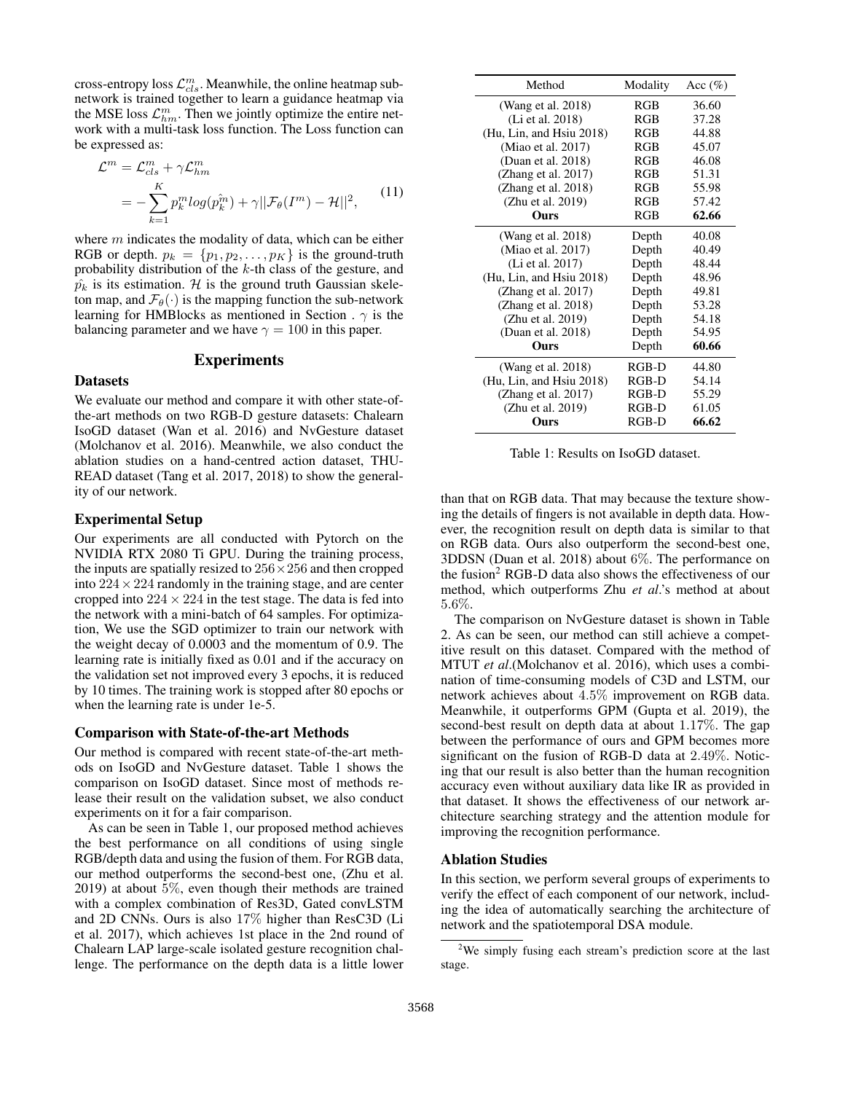cross-entropy loss  $\mathcal{L}_{cls}^{m}$ . Meanwhile, the online heatmap subnetwork is trained together to learn a guidance heatmap via the MSE loss  $\mathcal{L}_{hm}^m$ . Then we jointly optimize the entire network with a multi-task loss function. The Loss function can be expressed as:

$$
\mathcal{L}^m = \mathcal{L}_{cls}^m + \gamma \mathcal{L}_{hm}^m
$$
  
= 
$$
-\sum_{k=1}^K p_k^m \log(p_k^{\hat{m}}) + \gamma ||\mathcal{F}_{\theta}(I^m) - \mathcal{H}||^2,
$$
 (11)

where  $m$  indicates the modality of data, which can be either RGB or depth.  $p_k = \{p_1, p_2, \ldots, p_K\}$  is the ground-truth probability distribution of the k-th class of the gesture, and  $\hat{p_k}$  is its estimation. H is the ground truth Gaussian skeleton map, and  $\mathcal{F}_{\theta}(\cdot)$  is the mapping function the sub-network learning for HMBlocks as mentioned in Section .  $\gamma$  is the balancing parameter and we have  $\gamma = 100$  in this paper.

## **Experiments**

#### Datasets

We evaluate our method and compare it with other state-ofthe-art methods on two RGB-D gesture datasets: Chalearn IsoGD dataset (Wan et al. 2016) and NvGesture dataset (Molchanov et al. 2016). Meanwhile, we also conduct the ablation studies on a hand-centred action dataset, THU-READ dataset (Tang et al. 2017, 2018) to show the generality of our network.

#### Experimental Setup

Our experiments are all conducted with Pytorch on the NVIDIA RTX 2080 Ti GPU. During the training process, the inputs are spatially resized to  $256 \times 256$  and then cropped into  $224 \times 224$  randomly in the training stage, and are center cropped into  $224 \times 224$  in the test stage. The data is fed into the network with a mini-batch of 64 samples. For optimization, We use the SGD optimizer to train our network with the weight decay of 0.0003 and the momentum of 0.9. The learning rate is initially fixed as 0.01 and if the accuracy on the validation set not improved every 3 epochs, it is reduced by 10 times. The training work is stopped after 80 epochs or when the learning rate is under 1e-5.

#### Comparison with State-of-the-art Methods

Our method is compared with recent state-of-the-art methods on IsoGD and NvGesture dataset. Table 1 shows the comparison on IsoGD dataset. Since most of methods release their result on the validation subset, we also conduct experiments on it for a fair comparison.

As can be seen in Table 1, our proposed method achieves the best performance on all conditions of using single RGB/depth data and using the fusion of them. For RGB data, our method outperforms the second-best one, (Zhu et al. 2019) at about 5%, even though their methods are trained with a complex combination of Res3D, Gated convLSTM and 2D CNNs. Ours is also 17% higher than ResC3D (Li et al. 2017), which achieves 1st place in the 2nd round of Chalearn LAP large-scale isolated gesture recognition challenge. The performance on the depth data is a little lower

| Method                   | Modality   | Acc $(\% )$ |
|--------------------------|------------|-------------|
| (Wang et al. 2018)       | <b>RGB</b> | 36.60       |
| (Li et al. 2018)         | RGB        | 37.28       |
| (Hu, Lin, and Hsiu 2018) | RGB        | 44.88       |
| (Miao et al. 2017)       | RGB        | 45.07       |
| (Duan et al. 2018)       | <b>RGB</b> | 46.08       |
| (Zhang et al. 2017)      | RGB        | 51.31       |
| (Zhang et al. 2018)      | <b>RGB</b> | 55.98       |
| (Zhu et al. 2019)        | <b>RGB</b> | 57.42       |
| <b>Ours</b>              | RGB        | 62.66       |
| (Wang et al. 2018)       | Depth      | 40.08       |
| (Miao et al. 2017)       | Depth      | 40.49       |
| (Li et al. 2017)         | Depth      | 48.44       |
| (Hu, Lin, and Hsiu 2018) | Depth      | 48.96       |
| (Zhang et al. $2017$ )   | Depth      | 49.81       |
| (Zhang et al. 2018)      | Depth      | 53.28       |
| (Zhu et al. 2019)        | Depth      | 54.18       |
| (Duan et al. 2018)       | Depth      | 54.95       |
| Ours                     | Depth      | 60.66       |
| (Wang et al. 2018)       | RGB-D      | 44.80       |
| (Hu, Lin, and Hsiu 2018) | RGB-D      | 54.14       |
| (Zhang et al. $2017$ )   | $RGB-D$    | 55.29       |
| (Zhu et al. 2019)        | $RGB-D$    | 61.05       |
| Ours                     | $RGB-D$    | 66.62       |

Table 1: Results on IsoGD dataset.

than that on RGB data. That may because the texture showing the details of fingers is not available in depth data. However, the recognition result on depth data is similar to that on RGB data. Ours also outperform the second-best one, 3DDSN (Duan et al. 2018) about 6%. The performance on the fusion<sup>2</sup> RGB-D data also shows the effectiveness of our method, which outperforms Zhu *et al*.'s method at about 5.6%.

The comparison on NvGesture dataset is shown in Table 2. As can be seen, our method can still achieve a competitive result on this dataset. Compared with the method of MTUT *et al*.(Molchanov et al. 2016), which uses a combination of time-consuming models of C3D and LSTM, our network achieves about 4.5% improvement on RGB data. Meanwhile, it outperforms GPM (Gupta et al. 2019), the second-best result on depth data at about 1.17%. The gap between the performance of ours and GPM becomes more significant on the fusion of RGB-D data at 2.49%. Noticing that our result is also better than the human recognition accuracy even without auxiliary data like IR as provided in that dataset. It shows the effectiveness of our network architecture searching strategy and the attention module for improving the recognition performance.

#### Ablation Studies

In this section, we perform several groups of experiments to verify the effect of each component of our network, including the idea of automatically searching the architecture of network and the spatiotemporal DSA module.

<sup>&</sup>lt;sup>2</sup>We simply fusing each stream's prediction score at the last stage.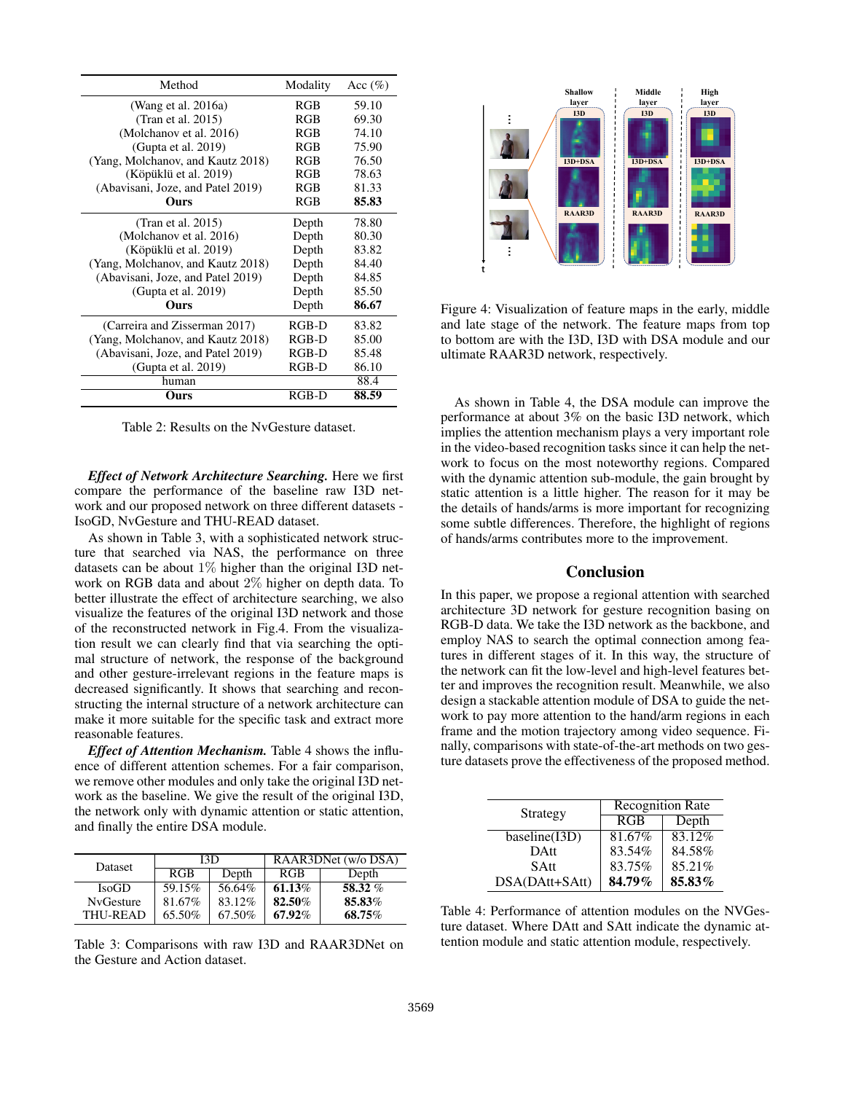| Method                            | Modality   | Acc $(\%)$ |
|-----------------------------------|------------|------------|
| (Wang et al. 2016a)               | <b>RGB</b> | 59.10      |
| (Tran et al. 2015)                | <b>RGB</b> | 69.30      |
| (Molchanov et al. 2016)           | <b>RGB</b> | 74.10      |
| (Gupta et al. $2019$ )            | <b>RGB</b> | 75.90      |
| (Yang, Molchanov, and Kautz 2018) | RGB        | 76.50      |
| (Köpüklü et al. 2019)             | <b>RGB</b> | 78.63      |
| (Abavisani, Joze, and Patel 2019) | RGB        | 81.33      |
| Ours                              | <b>RGB</b> | 85.83      |
| (Tran et al. $2015$ )             | Depth      | 78.80      |
| (Molchanov et al. 2016)           | Depth      | 80.30      |
| (Köpüklü et al. 2019)             | Depth      | 83.82      |
| (Yang, Molchanov, and Kautz 2018) | Depth      | 84.40      |
| (Abavisani, Joze, and Patel 2019) | Depth      | 84.85      |
| (Gupta et al. 2019)               | Depth      | 85.50      |
| Ours                              | Depth      | 86.67      |
| (Carreira and Zisserman 2017)     | RGB-D      | 83.82      |
| (Yang, Molchanov, and Kautz 2018) | RGB-D      | 85.00      |
| (Abavisani, Joze, and Patel 2019) | RGB-D      | 85.48      |
| (Gupta et al. $2019$ )            | $RGB-D$    | 86.10      |
| human                             |            | 88.4       |
| Ours                              | $RGB-D$    | 88.59      |

Table 2: Results on the NvGesture dataset.

*Effect of Network Architecture Searching.* Here we first compare the performance of the baseline raw I3D network and our proposed network on three different datasets - IsoGD, NvGesture and THU-READ dataset.

As shown in Table 3, with a sophisticated network structure that searched via NAS, the performance on three datasets can be about 1% higher than the original I3D network on RGB data and about 2% higher on depth data. To better illustrate the effect of architecture searching, we also visualize the features of the original I3D network and those of the reconstructed network in Fig.4. From the visualization result we can clearly find that via searching the optimal structure of network, the response of the background and other gesture-irrelevant regions in the feature maps is decreased significantly. It shows that searching and reconstructing the internal structure of a network architecture can make it more suitable for the specific task and extract more reasonable features.

*Effect of Attention Mechanism.* Table 4 shows the influence of different attention schemes. For a fair comparison, we remove other modules and only take the original I3D network as the baseline. We give the result of the original I3D, the network only with dynamic attention or static attention, and finally the entire DSA module.

| <b>Dataset</b>   | I3D        |        | RAAR3DNet (w/o DSA) |         |
|------------------|------------|--------|---------------------|---------|
|                  | <b>RGB</b> | Depth  | <b>RGB</b>          | Depth   |
| <b>IsoGD</b>     | 59.15%     | 56.64% | 61.13\%             | 58.32 % |
| <b>NyGesture</b> | 81.67%     | 83.12% | 82.50%              | 85.83%  |
| THU-READ         | 65.50%     | 67.50% | 67.92%              | 68.75%  |

Table 3: Comparisons with raw I3D and RAAR3DNet on the Gesture and Action dataset.



Figure 4: Visualization of feature maps in the early, middle and late stage of the network. The feature maps from top to bottom are with the I3D, I3D with DSA module and our ultimate RAAR3D network, respectively.

As shown in Table 4, the DSA module can improve the performance at about 3% on the basic I3D network, which implies the attention mechanism plays a very important role in the video-based recognition tasks since it can help the network to focus on the most noteworthy regions. Compared with the dynamic attention sub-module, the gain brought by static attention is a little higher. The reason for it may be the details of hands/arms is more important for recognizing some subtle differences. Therefore, the highlight of regions of hands/arms contributes more to the improvement.

## Conclusion

In this paper, we propose a regional attention with searched architecture 3D network for gesture recognition basing on RGB-D data. We take the I3D network as the backbone, and employ NAS to search the optimal connection among features in different stages of it. In this way, the structure of the network can fit the low-level and high-level features better and improves the recognition result. Meanwhile, we also design a stackable attention module of DSA to guide the network to pay more attention to the hand/arm regions in each frame and the motion trajectory among video sequence. Finally, comparisons with state-of-the-art methods on two gesture datasets prove the effectiveness of the proposed method.

| Strategy       | <b>Recognition Rate</b> |        |  |
|----------------|-------------------------|--------|--|
|                | RGB                     | Depth  |  |
| baseline(I3D)  | 81.67%                  | 83.12% |  |
| <b>DAtt</b>    | 83.54%                  | 84.58% |  |
| <b>SAtt</b>    | 83.75%                  | 85.21% |  |
| DSA(DAtt+SAtt) | 84.79%                  | 85.83% |  |

Table 4: Performance of attention modules on the NVGesture dataset. Where DAtt and SAtt indicate the dynamic attention module and static attention module, respectively.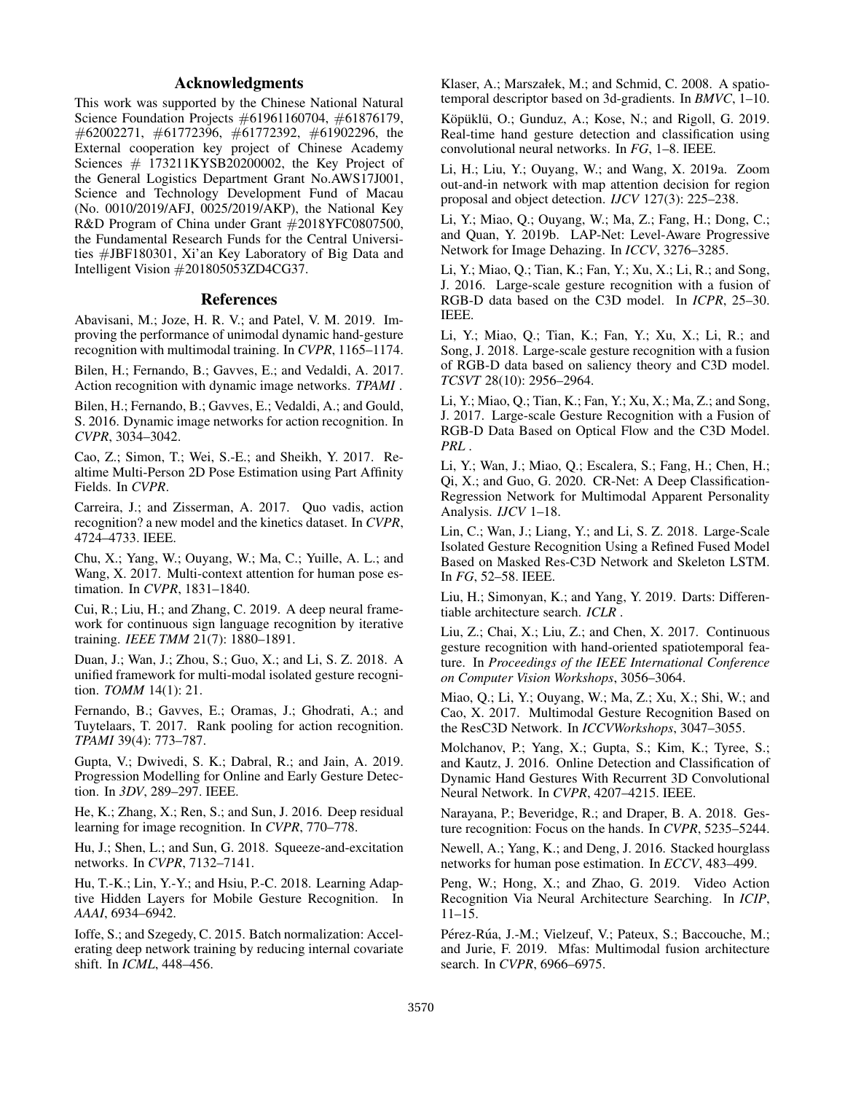## Acknowledgments

This work was supported by the Chinese National Natural Science Foundation Projects #61961160704, #61876179, #62002271, #61772396, #61772392, #61902296, the External cooperation key project of Chinese Academy Sciences  $\#$  173211KYSB20200002, the Key Project of the General Logistics Department Grant No.AWS17J001, Science and Technology Development Fund of Macau (No. 0010/2019/AFJ, 0025/2019/AKP), the National Key R&D Program of China under Grant #2018YFC0807500, the Fundamental Research Funds for the Central Universities #JBF180301, Xi'an Key Laboratory of Big Data and Intelligent Vision #201805053ZD4CG37.

## References

Abavisani, M.; Joze, H. R. V.; and Patel, V. M. 2019. Improving the performance of unimodal dynamic hand-gesture recognition with multimodal training. In *CVPR*, 1165–1174.

Bilen, H.; Fernando, B.; Gavves, E.; and Vedaldi, A. 2017. Action recognition with dynamic image networks. *TPAMI* .

Bilen, H.; Fernando, B.; Gavves, E.; Vedaldi, A.; and Gould, S. 2016. Dynamic image networks for action recognition. In *CVPR*, 3034–3042.

Cao, Z.; Simon, T.; Wei, S.-E.; and Sheikh, Y. 2017. Realtime Multi-Person 2D Pose Estimation using Part Affinity Fields. In *CVPR*.

Carreira, J.; and Zisserman, A. 2017. Quo vadis, action recognition? a new model and the kinetics dataset. In *CVPR*, 4724–4733. IEEE.

Chu, X.; Yang, W.; Ouyang, W.; Ma, C.; Yuille, A. L.; and Wang, X. 2017. Multi-context attention for human pose estimation. In *CVPR*, 1831–1840.

Cui, R.; Liu, H.; and Zhang, C. 2019. A deep neural framework for continuous sign language recognition by iterative training. *IEEE TMM* 21(7): 1880–1891.

Duan, J.; Wan, J.; Zhou, S.; Guo, X.; and Li, S. Z. 2018. A unified framework for multi-modal isolated gesture recognition. *TOMM* 14(1): 21.

Fernando, B.; Gavves, E.; Oramas, J.; Ghodrati, A.; and Tuytelaars, T. 2017. Rank pooling for action recognition. *TPAMI* 39(4): 773–787.

Gupta, V.; Dwivedi, S. K.; Dabral, R.; and Jain, A. 2019. Progression Modelling for Online and Early Gesture Detection. In *3DV*, 289–297. IEEE.

He, K.; Zhang, X.; Ren, S.; and Sun, J. 2016. Deep residual learning for image recognition. In *CVPR*, 770–778.

Hu, J.; Shen, L.; and Sun, G. 2018. Squeeze-and-excitation networks. In *CVPR*, 7132–7141.

Hu, T.-K.; Lin, Y.-Y.; and Hsiu, P.-C. 2018. Learning Adaptive Hidden Layers for Mobile Gesture Recognition. In *AAAI*, 6934–6942.

Ioffe, S.; and Szegedy, C. 2015. Batch normalization: Accelerating deep network training by reducing internal covariate shift. In *ICML*, 448–456.

Klaser, A.; Marszałek, M.; and Schmid, C. 2008. A spatiotemporal descriptor based on 3d-gradients. In *BMVC*, 1–10.

Köpüklü, O.; Gunduz, A.; Kose, N.; and Rigoll, G. 2019. Real-time hand gesture detection and classification using convolutional neural networks. In *FG*, 1–8. IEEE.

Li, H.; Liu, Y.; Ouyang, W.; and Wang, X. 2019a. Zoom out-and-in network with map attention decision for region proposal and object detection. *IJCV* 127(3): 225–238.

Li, Y.; Miao, Q.; Ouyang, W.; Ma, Z.; Fang, H.; Dong, C.; and Quan, Y. 2019b. LAP-Net: Level-Aware Progressive Network for Image Dehazing. In *ICCV*, 3276–3285.

Li, Y.; Miao, Q.; Tian, K.; Fan, Y.; Xu, X.; Li, R.; and Song, J. 2016. Large-scale gesture recognition with a fusion of RGB-D data based on the C3D model. In *ICPR*, 25–30. IEEE.

Li, Y.; Miao, Q.; Tian, K.; Fan, Y.; Xu, X.; Li, R.; and Song, J. 2018. Large-scale gesture recognition with a fusion of RGB-D data based on saliency theory and C3D model. *TCSVT* 28(10): 2956–2964.

Li, Y.; Miao, Q.; Tian, K.; Fan, Y.; Xu, X.; Ma, Z.; and Song, J. 2017. Large-scale Gesture Recognition with a Fusion of RGB-D Data Based on Optical Flow and the C3D Model. *PRL* .

Li, Y.; Wan, J.; Miao, Q.; Escalera, S.; Fang, H.; Chen, H.; Qi, X.; and Guo, G. 2020. CR-Net: A Deep Classification-Regression Network for Multimodal Apparent Personality Analysis. *IJCV* 1–18.

Lin, C.; Wan, J.; Liang, Y.; and Li, S. Z. 2018. Large-Scale Isolated Gesture Recognition Using a Refined Fused Model Based on Masked Res-C3D Network and Skeleton LSTM. In *FG*, 52–58. IEEE.

Liu, H.; Simonyan, K.; and Yang, Y. 2019. Darts: Differentiable architecture search. *ICLR* .

Liu, Z.; Chai, X.; Liu, Z.; and Chen, X. 2017. Continuous gesture recognition with hand-oriented spatiotemporal feature. In *Proceedings of the IEEE International Conference on Computer Vision Workshops*, 3056–3064.

Miao, Q.; Li, Y.; Ouyang, W.; Ma, Z.; Xu, X.; Shi, W.; and Cao, X. 2017. Multimodal Gesture Recognition Based on the ResC3D Network. In *ICCVWorkshops*, 3047–3055.

Molchanov, P.; Yang, X.; Gupta, S.; Kim, K.; Tyree, S.; and Kautz, J. 2016. Online Detection and Classification of Dynamic Hand Gestures With Recurrent 3D Convolutional Neural Network. In *CVPR*, 4207–4215. IEEE.

Narayana, P.; Beveridge, R.; and Draper, B. A. 2018. Gesture recognition: Focus on the hands. In *CVPR*, 5235–5244.

Newell, A.; Yang, K.; and Deng, J. 2016. Stacked hourglass networks for human pose estimation. In *ECCV*, 483–499.

Peng, W.; Hong, X.; and Zhao, G. 2019. Video Action Recognition Via Neural Architecture Searching. In *ICIP*, 11–15.

Pérez-Rúa, J.-M.; Vielzeuf, V.; Pateux, S.; Baccouche, M.; and Jurie, F. 2019. Mfas: Multimodal fusion architecture search. In *CVPR*, 6966–6975.